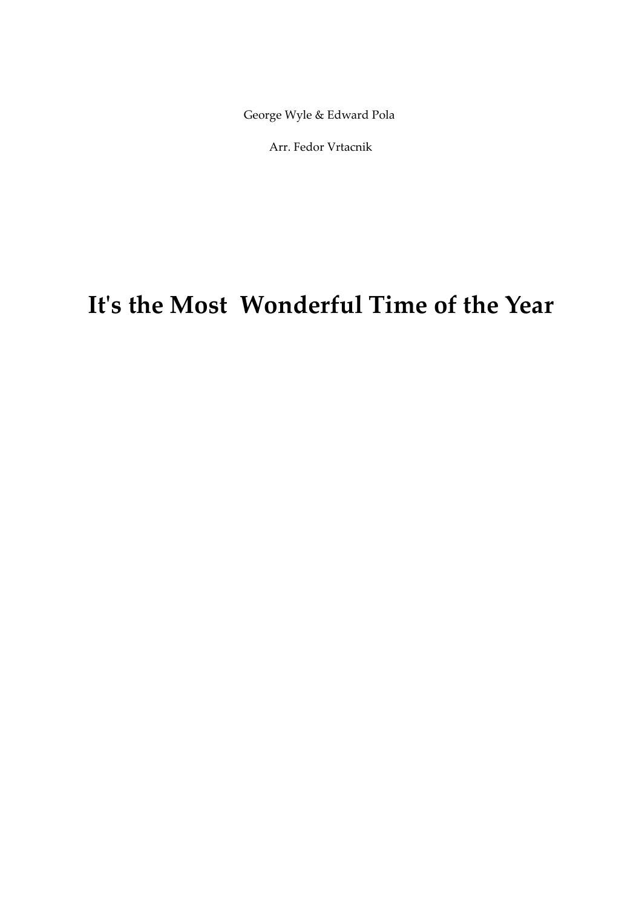## **Itʹs the Most Wonderful Time of the Year**

George Wyle & Edward Pola

Arr. Fedor Vrtacnik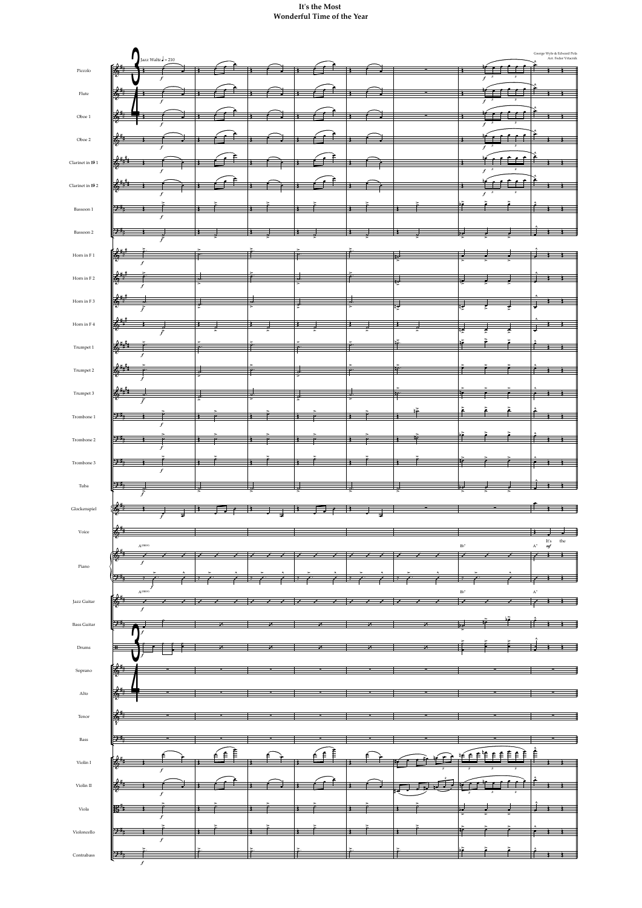|                                 |                           | Jazz Waltz $\frac{1}{2}$ = 210                  |                  |                   |                          |   |          |                   |    |    |    |                          |                                               |                            |                | George Wyle & Edward Pola<br>Arr. Fedor Vrtacnik                      |
|---------------------------------|---------------------------|-------------------------------------------------|------------------|-------------------|--------------------------|---|----------|-------------------|----|----|----|--------------------------|-----------------------------------------------|----------------------------|----------------|-----------------------------------------------------------------------|
| $\operatorname{Piccolo}$        | 传<br>T                    |                                                 |                  |                   |                          |   |          |                   |    |    |    |                          | $\overline{\phantom{a}}$<br>$f^{\frac{3}{3}}$ | $\boldsymbol{\cdot}$       |                |                                                                       |
|                                 | 暗                         |                                                 |                  |                   |                          |   |          |                   |    |    |    |                          | $\overline{\phantom{a}}$                      |                            |                |                                                                       |
| Flute                           | $\overline{\phantom{a}}$  |                                                 |                  |                   |                          |   |          |                   |    |    |    |                          | $f^{-3}$                                      |                            |                |                                                                       |
| Oboe $1\,$                      | Ъ                         |                                                 |                  |                   |                          |   |          |                   |    |    |    |                          | - 1<br>$f^{\frac{3}{3}}$                      | $\sqrt{3}$                 |                | ≢                                                                     |
| Oboe 2                          |                           |                                                 |                  |                   |                          |   |          |                   |    |    |    |                          |                                               |                            |                |                                                                       |
|                                 |                           |                                                 |                  |                   |                          |   |          |                   |    |    |    |                          | $f^{\frac{3}{3}}$                             | $\sqrt{3}$                 |                |                                                                       |
| Clarinet in $\mathsf{B}\flat$ 1 |                           |                                                 |                  |                   |                          |   |          |                   |    |    |    |                          | $f^{-3}$                                      | $\boldsymbol{\mathcal{S}}$ |                |                                                                       |
| Clarinet in $\mathsf{B}\flat$ 2 |                           |                                                 |                  |                   |                          |   |          |                   |    |    |    |                          |                                               |                            |                |                                                                       |
|                                 |                           |                                                 |                  |                   |                          |   |          |                   |    |    |    |                          | $\boldsymbol{\mathcal{S}}$<br>$\mathbf{f}$    | $\boldsymbol{\mathcal{S}}$ |                |                                                                       |
| Bassoon 1                       | 9:1                       |                                                 | $\boldsymbol{f}$ |                   | →                        |   |          |                   |    |    |    |                          |                                               |                            |                | Ť                                                                     |
| Bassoon 2                       | $9 -$                     |                                                 |                  |                   |                          |   |          |                   |    |    |    | 70                       |                                               |                            |                |                                                                       |
|                                 |                           |                                                 |                  |                   |                          |   |          |                   |    |    |    |                          |                                               |                            |                |                                                                       |
| Horn in F1                      | 6<br>$\overline{\bullet}$ | f                                               |                  | $\overline{\rho}$ |                          |   |          |                   |    |    |    |                          |                                               |                            |                |                                                                       |
| Horn in F2                      | 茝                         |                                                 |                  | d.                | P                        |   | $\sigma$ |                   |    | ₩  |    |                          |                                               |                            |                | Ŧ                                                                     |
|                                 |                           |                                                 |                  |                   |                          |   |          |                   |    |    |    |                          |                                               |                            |                |                                                                       |
| Horn in F <sub>3</sub>          | ↔                         |                                                 |                  |                   | ᅯ.                       |   |          | <u>d.</u>         |    | ಡ್ |    |                          |                                               |                            |                |                                                                       |
| Horn in F4                      | Ğ                         |                                                 |                  |                   |                          |   |          |                   |    |    |    |                          |                                               |                            |                | Ŧ                                                                     |
|                                 |                           |                                                 |                  |                   | c                        |   |          |                   |    |    |    |                          |                                               |                            |                |                                                                       |
| Trumpet 1                       | œ                         | $\boldsymbol{f}$                                |                  | G                 |                          |   |          |                   |    |    |    |                          |                                               |                            |                | $\leftarrow$<br>Ŧ                                                     |
| Trumpet 2                       | 6<br>٠.                   |                                                 |                  | z                 | $\overline{\mathcal{P}}$ |   | >        | $\overline{\rho}$ |    | f  |    |                          |                                               |                            | ≄              | $\rightarrow$                                                         |
| Trumpet 3                       | $6 +$                     |                                                 |                  |                   |                          |   |          |                   |    |    |    |                          |                                               |                            |                |                                                                       |
|                                 |                           |                                                 |                  |                   |                          |   |          |                   |    |    |    |                          |                                               |                            |                |                                                                       |
| Trombone 1                      | भ∺                        |                                                 | $\boldsymbol{f}$ |                   |                          |   |          |                   |    |    | آم |                          |                                               |                            |                | <del>∕</del>                                                          |
| Trombone 2                      | 9:4                       |                                                 |                  |                   |                          |   |          |                   |    |    |    |                          |                                               |                            |                | <del>€</del><br>Ŧ                                                     |
|                                 |                           |                                                 |                  |                   |                          |   |          |                   |    |    |    |                          |                                               |                            |                |                                                                       |
| Trombone 3                      | $9 -$                     |                                                 | $\boldsymbol{f}$ |                   |                          |   |          |                   |    |    |    |                          |                                               |                            |                |                                                                       |
| Tuba                            | $\mathcal{P}$             |                                                 |                  |                   |                          |   |          |                   |    |    |    |                          |                                               |                            |                |                                                                       |
|                                 |                           | ř                                               |                  |                   |                          |   |          |                   |    |    |    |                          |                                               |                            |                |                                                                       |
| Glockenspiel                    |                           |                                                 |                  |                   |                          |   |          |                   |    |    |    |                          |                                               |                            |                | <del>€</del>                                                          |
| Voice                           | $\frac{2}{\Phi}$          |                                                 |                  |                   |                          |   |          |                   |    |    |    |                          |                                               |                            |                |                                                                       |
|                                 |                           | $\mathbf{A}^{(\text{SUS4})}$                    |                  |                   |                          |   |          |                   |    |    |    | $\mathrm{Bb}^7$          |                                               |                            | $\mathrm{A}^7$ | $\mathop{\rm It^{\prime}}\nolimits_{\mathop{\it mf}\nolimits}$<br>the |
| Piano                           | $\frac{2}{3}$             | $\boldsymbol{f}$                                |                  |                   |                          |   |          |                   |    |    |    |                          |                                               |                            | ₹              |                                                                       |
|                                 | ،∺9                       |                                                 |                  |                   |                          |   |          |                   |    |    |    |                          |                                               |                            |                |                                                                       |
|                                 | $\frac{2}{3}$             | A <sup>(SUS4)</sup><br>$\overline{\phantom{0}}$ |                  |                   |                          |   |          |                   |    |    |    | $\mathrm{B}^\mathrm{b7}$ |                                               |                            | $A^7$          |                                                                       |
| Jazz Guitar                     |                           | $\overline{f}$                                  |                  |                   |                          |   |          |                   |    |    |    |                          |                                               |                            |                |                                                                       |
| <b>Bass Guitar</b>              | 9:1                       |                                                 |                  |                   |                          |   |          |                   | 7. |    |    |                          |                                               |                            |                |                                                                       |
| $\mathop{\rm Drums}\nolimits$   | $\mathbf{H}$              |                                                 |                  |                   |                          | χ |          |                   | Z. |    |    |                          |                                               |                            |                |                                                                       |
|                                 |                           |                                                 |                  |                   |                          |   |          |                   |    |    |    |                          |                                               |                            |                |                                                                       |
| $\operatorname{Soprano}$        | $\frac{2}{5}$             |                                                 |                  |                   |                          |   |          |                   |    |    |    |                          |                                               |                            |                |                                                                       |



## **Itʹs the Most Wonderful Time of the Year**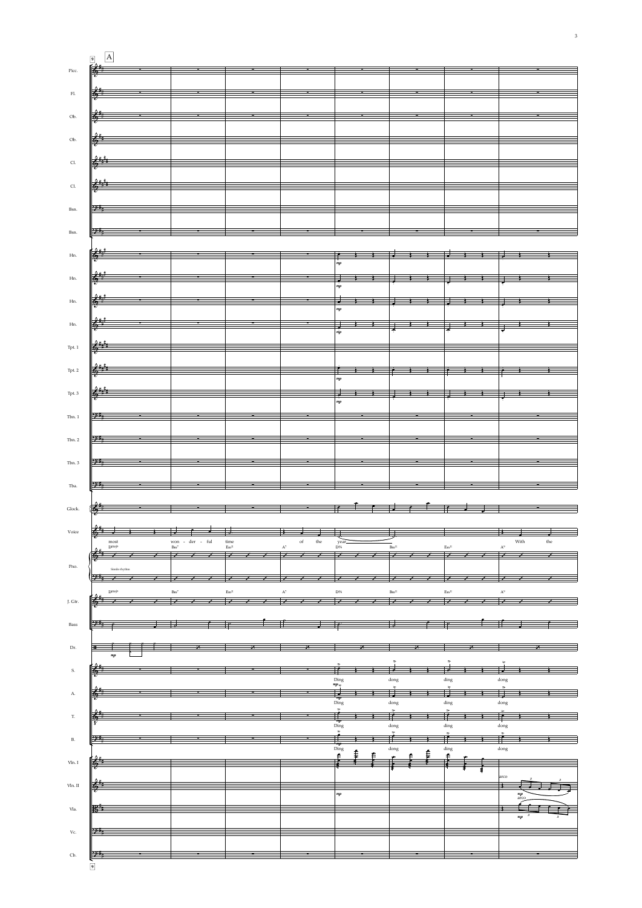|                             | $\Delta$<br>$\boxed{9}$                                                                                             |                                      |                       |                         |                                                                                                                       |                          |      |             |
|-----------------------------|---------------------------------------------------------------------------------------------------------------------|--------------------------------------|-----------------------|-------------------------|-----------------------------------------------------------------------------------------------------------------------|--------------------------|------|-------------|
| $\rm Picc.$                 |                                                                                                                     |                                      |                       |                         |                                                                                                                       |                          |      |             |
|                             |                                                                                                                     |                                      |                       |                         |                                                                                                                       |                          |      |             |
| $\mathop{\rm Fl}\nolimits.$ |                                                                                                                     |                                      |                       |                         |                                                                                                                       |                          |      |             |
| $\mathrm{Ob}.$              | $\frac{1}{2}$                                                                                                       |                                      |                       |                         |                                                                                                                       |                          |      |             |
|                             |                                                                                                                     |                                      |                       |                         |                                                                                                                       |                          |      |             |
| $\mathrm{Ob}.$              | $\frac{2}{3}$                                                                                                       |                                      |                       |                         |                                                                                                                       |                          |      |             |
| $\operatorname{Cl.}$        | $\frac{1}{6}$                                                                                                       |                                      |                       |                         |                                                                                                                       |                          |      |             |
|                             |                                                                                                                     |                                      |                       |                         |                                                                                                                       |                          |      |             |
| $\operatorname{Cl.}$        | $\frac{1}{100}$                                                                                                     |                                      |                       |                         |                                                                                                                       |                          |      |             |
| Bsn.                        | 9:5                                                                                                                 | $\sim$ $\sim$                        |                       |                         | <u> La Carlo de Carlo de Carlo de Carlo de Carlo de Carlo de Carlo de Carlo de Carlo de Carlo de Carlo de Carlo d</u> |                          |      |             |
|                             |                                                                                                                     |                                      |                       |                         |                                                                                                                       |                          |      |             |
| Bsn.                        |                                                                                                                     |                                      |                       |                         |                                                                                                                       |                          |      |             |
|                             |                                                                                                                     |                                      |                       |                         |                                                                                                                       |                          |      |             |
| $\operatorname{Hn.}$        |                                                                                                                     |                                      |                       |                         |                                                                                                                       |                          |      |             |
| $\rm Hn.$                   | $\frac{\left \frac{\partial^2 \dot{H}_i}{\partial t_i^2}\right }{\left \frac{\partial H_i}{\partial t_i^2}\right }$ |                                      |                       |                         |                                                                                                                       |                          |      |             |
|                             |                                                                                                                     |                                      |                       |                         |                                                                                                                       |                          |      |             |
| $\rm{Hn}.$                  |                                                                                                                     |                                      |                       |                         |                                                                                                                       |                          |      |             |
| Hn.                         | $\frac{1}{2}$                                                                                                       |                                      |                       |                         |                                                                                                                       |                          |      |             |
|                             |                                                                                                                     |                                      |                       |                         |                                                                                                                       |                          |      |             |
| $_{\rm Tpt. \ 1}$           | $\frac{2+1}{2}$                                                                                                     |                                      |                       |                         |                                                                                                                       |                          |      |             |
| Tpt. 2                      |                                                                                                                     |                                      |                       |                         |                                                                                                                       |                          |      | इ           |
|                             |                                                                                                                     |                                      |                       |                         |                                                                                                                       |                          |      |             |
| $\operatorname{Tpt.}3$      | $0 + 1$<br>$\mathbb{R}^n$                                                                                           |                                      |                       |                         |                                                                                                                       |                          |      |             |
| Tbn.1                       |                                                                                                                     |                                      |                       |                         |                                                                                                                       |                          |      |             |
|                             |                                                                                                                     |                                      |                       |                         |                                                                                                                       |                          |      |             |
| Tbn. 2                      |                                                                                                                     |                                      |                       |                         |                                                                                                                       |                          |      |             |
|                             |                                                                                                                     |                                      |                       |                         |                                                                                                                       |                          |      |             |
| Tbn. 3                      |                                                                                                                     |                                      |                       |                         |                                                                                                                       |                          |      |             |
| Tba.                        |                                                                                                                     |                                      |                       |                         |                                                                                                                       |                          |      |             |
|                             |                                                                                                                     |                                      |                       |                         |                                                                                                                       |                          |      |             |
| ${\rm Glock}.$              |                                                                                                                     |                                      |                       |                         |                                                                                                                       |                          |      |             |
| Voice                       |                                                                                                                     | $\Box$                               |                       |                         |                                                                                                                       |                          |      |             |
|                             | most<br>D <sub>maj</sub> <sub>9</sub>                                                                               | won - der - ful ${\rm Bm^7}$         | time<br>$\rm Em^{11}$ | the<br>$_{\mathrm{of}}$ | year<br>D%                                                                                                            | Bm <sup>11</sup>         |      | With<br>the |
| Pno.                        |                                                                                                                     |                                      |                       |                         |                                                                                                                       |                          |      |             |
|                             |                                                                                                                     |                                      |                       |                         |                                                                                                                       |                          |      |             |
|                             | D <sub>maj</sub> <sub>9</sub>                                                                                       |                                      |                       | $\frac{D\%}{\sqrt{D}}$  |                                                                                                                       |                          |      |             |
| J. Gtr.                     |                                                                                                                     | $\frac{Bm^7}{\sqrt{1-\frac{1}{2}}}\$ | $\overline{ }$        |                         | $\overline{\phantom{0}}$                                                                                              |                          |      |             |
| Bass                        |                                                                                                                     |                                      |                       |                         |                                                                                                                       |                          |      |             |
|                             |                                                                                                                     |                                      |                       |                         |                                                                                                                       |                          |      |             |
| Dr.                         |                                                                                                                     |                                      |                       |                         |                                                                                                                       |                          |      |             |
| S.                          |                                                                                                                     |                                      |                       |                         |                                                                                                                       | $\overline{\phantom{a}}$ |      |             |
|                             |                                                                                                                     |                                      |                       |                         | Ding                                                                                                                  | dong                     | ding | dong        |

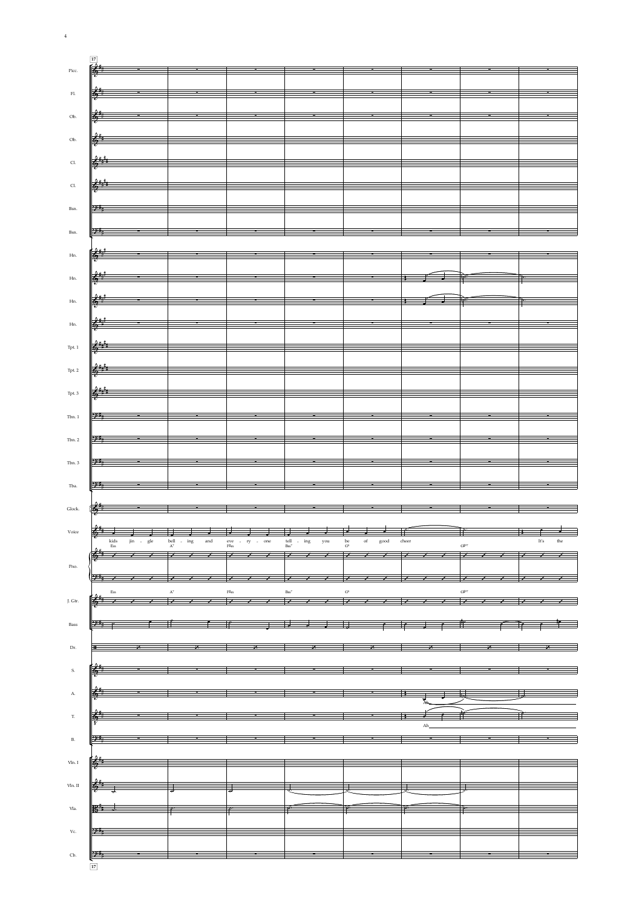|                            | 17              |               |                                                                                                                                                                                                                                                                                                                                                                                                                                          |                                                                                                   |                                                                                                                                                                                                                                                                                                                      |                             |       |                  |                                                                                                                                                                                                                                                                                                                                                                                                                                                         |  |  |
|----------------------------|-----------------|---------------|------------------------------------------------------------------------------------------------------------------------------------------------------------------------------------------------------------------------------------------------------------------------------------------------------------------------------------------------------------------------------------------------------------------------------------------|---------------------------------------------------------------------------------------------------|----------------------------------------------------------------------------------------------------------------------------------------------------------------------------------------------------------------------------------------------------------------------------------------------------------------------|-----------------------------|-------|------------------|---------------------------------------------------------------------------------------------------------------------------------------------------------------------------------------------------------------------------------------------------------------------------------------------------------------------------------------------------------------------------------------------------------------------------------------------------------|--|--|
| Picc.                      |                 |               |                                                                                                                                                                                                                                                                                                                                                                                                                                          |                                                                                                   |                                                                                                                                                                                                                                                                                                                      |                             |       |                  |                                                                                                                                                                                                                                                                                                                                                                                                                                                         |  |  |
|                            |                 |               |                                                                                                                                                                                                                                                                                                                                                                                                                                          |                                                                                                   |                                                                                                                                                                                                                                                                                                                      |                             |       |                  |                                                                                                                                                                                                                                                                                                                                                                                                                                                         |  |  |
|                            |                 |               |                                                                                                                                                                                                                                                                                                                                                                                                                                          |                                                                                                   |                                                                                                                                                                                                                                                                                                                      |                             |       |                  |                                                                                                                                                                                                                                                                                                                                                                                                                                                         |  |  |
| $\rm{Fl.}$                 |                 |               |                                                                                                                                                                                                                                                                                                                                                                                                                                          |                                                                                                   | $\blacksquare$                                                                                                                                                                                                                                                                                                       |                             |       |                  |                                                                                                                                                                                                                                                                                                                                                                                                                                                         |  |  |
|                            |                 |               |                                                                                                                                                                                                                                                                                                                                                                                                                                          |                                                                                                   |                                                                                                                                                                                                                                                                                                                      |                             |       |                  |                                                                                                                                                                                                                                                                                                                                                                                                                                                         |  |  |
|                            |                 |               |                                                                                                                                                                                                                                                                                                                                                                                                                                          |                                                                                                   |                                                                                                                                                                                                                                                                                                                      |                             |       |                  |                                                                                                                                                                                                                                                                                                                                                                                                                                                         |  |  |
| Ob.                        | $\frac{2}{6}$   |               |                                                                                                                                                                                                                                                                                                                                                                                                                                          |                                                                                                   |                                                                                                                                                                                                                                                                                                                      |                             |       |                  |                                                                                                                                                                                                                                                                                                                                                                                                                                                         |  |  |
|                            |                 |               |                                                                                                                                                                                                                                                                                                                                                                                                                                          |                                                                                                   |                                                                                                                                                                                                                                                                                                                      |                             |       |                  |                                                                                                                                                                                                                                                                                                                                                                                                                                                         |  |  |
|                            | $\frac{1}{2}$   |               |                                                                                                                                                                                                                                                                                                                                                                                                                                          |                                                                                                   |                                                                                                                                                                                                                                                                                                                      |                             |       |                  |                                                                                                                                                                                                                                                                                                                                                                                                                                                         |  |  |
| Ob.                        |                 |               |                                                                                                                                                                                                                                                                                                                                                                                                                                          |                                                                                                   |                                                                                                                                                                                                                                                                                                                      |                             |       |                  |                                                                                                                                                                                                                                                                                                                                                                                                                                                         |  |  |
|                            |                 |               |                                                                                                                                                                                                                                                                                                                                                                                                                                          |                                                                                                   |                                                                                                                                                                                                                                                                                                                      |                             |       |                  |                                                                                                                                                                                                                                                                                                                                                                                                                                                         |  |  |
| $\mathsf{Cl}\xspace$       |                 |               |                                                                                                                                                                                                                                                                                                                                                                                                                                          |                                                                                                   | $\frac{1}{6}$                                                                                                                                                                                                                                                                                                        |                             |       |                  |                                                                                                                                                                                                                                                                                                                                                                                                                                                         |  |  |
|                            |                 |               |                                                                                                                                                                                                                                                                                                                                                                                                                                          |                                                                                                   |                                                                                                                                                                                                                                                                                                                      |                             |       |                  |                                                                                                                                                                                                                                                                                                                                                                                                                                                         |  |  |
|                            |                 |               |                                                                                                                                                                                                                                                                                                                                                                                                                                          |                                                                                                   |                                                                                                                                                                                                                                                                                                                      |                             |       |                  |                                                                                                                                                                                                                                                                                                                                                                                                                                                         |  |  |
| $\mathop{\rm Cl}\nolimits$ |                 |               |                                                                                                                                                                                                                                                                                                                                                                                                                                          |                                                                                                   | $\frac{1}{36}$ $\frac{2}{3}$ $\frac{1}{3}$ $\frac{1}{3}$ $\frac{1}{3}$ $\frac{1}{3}$ $\frac{1}{3}$ $\frac{1}{3}$ $\frac{1}{3}$ $\frac{1}{3}$ $\frac{1}{3}$ $\frac{1}{3}$ $\frac{1}{3}$ $\frac{1}{3}$ $\frac{1}{3}$ $\frac{1}{3}$ $\frac{1}{3}$ $\frac{1}{3}$ $\frac{1}{3}$ $\frac{1}{3}$ $\frac{1}{3}$ $\frac{1}{3}$ |                             |       |                  |                                                                                                                                                                                                                                                                                                                                                                                                                                                         |  |  |
|                            |                 |               |                                                                                                                                                                                                                                                                                                                                                                                                                                          |                                                                                                   |                                                                                                                                                                                                                                                                                                                      |                             |       |                  |                                                                                                                                                                                                                                                                                                                                                                                                                                                         |  |  |
|                            |                 |               |                                                                                                                                                                                                                                                                                                                                                                                                                                          |                                                                                                   |                                                                                                                                                                                                                                                                                                                      |                             |       |                  |                                                                                                                                                                                                                                                                                                                                                                                                                                                         |  |  |
| Bsn.                       | 2:4             |               |                                                                                                                                                                                                                                                                                                                                                                                                                                          | <b>P</b>                                                                                          | $\overline{\phantom{a}}$                                                                                                                                                                                                                                                                                             |                             |       |                  |                                                                                                                                                                                                                                                                                                                                                                                                                                                         |  |  |
|                            |                 |               |                                                                                                                                                                                                                                                                                                                                                                                                                                          |                                                                                                   |                                                                                                                                                                                                                                                                                                                      |                             |       |                  |                                                                                                                                                                                                                                                                                                                                                                                                                                                         |  |  |
|                            |                 |               |                                                                                                                                                                                                                                                                                                                                                                                                                                          |                                                                                                   | <u> 1989 - Jan Stein Stein Stein Stein Stein Stein Stein Stein Stein Stein Stein Stein Stein Stein Stein Stein S</u>                                                                                                                                                                                                 |                             |       |                  |                                                                                                                                                                                                                                                                                                                                                                                                                                                         |  |  |
| Bsn.                       |                 |               |                                                                                                                                                                                                                                                                                                                                                                                                                                          |                                                                                                   |                                                                                                                                                                                                                                                                                                                      |                             |       |                  |                                                                                                                                                                                                                                                                                                                                                                                                                                                         |  |  |
|                            |                 |               |                                                                                                                                                                                                                                                                                                                                                                                                                                          |                                                                                                   |                                                                                                                                                                                                                                                                                                                      |                             |       |                  |                                                                                                                                                                                                                                                                                                                                                                                                                                                         |  |  |
| $_{\rm Hn.}$               |                 |               |                                                                                                                                                                                                                                                                                                                                                                                                                                          |                                                                                                   | $\mathbb{R}^{n+1}$ is a set of the set of the set of the set of the set of the set of the set of the set of the set of the set of the set of the set of the set of the set of the set of the set of the set of the set of the set                                                                                    |                             |       |                  |                                                                                                                                                                                                                                                                                                                                                                                                                                                         |  |  |
|                            |                 |               |                                                                                                                                                                                                                                                                                                                                                                                                                                          |                                                                                                   |                                                                                                                                                                                                                                                                                                                      |                             |       |                  |                                                                                                                                                                                                                                                                                                                                                                                                                                                         |  |  |
|                            |                 |               |                                                                                                                                                                                                                                                                                                                                                                                                                                          |                                                                                                   |                                                                                                                                                                                                                                                                                                                      |                             |       |                  |                                                                                                                                                                                                                                                                                                                                                                                                                                                         |  |  |
| $Hn$ .                     |                 |               |                                                                                                                                                                                                                                                                                                                                                                                                                                          |                                                                                                   |                                                                                                                                                                                                                                                                                                                      |                             |       |                  |                                                                                                                                                                                                                                                                                                                                                                                                                                                         |  |  |
|                            |                 |               |                                                                                                                                                                                                                                                                                                                                                                                                                                          |                                                                                                   |                                                                                                                                                                                                                                                                                                                      |                             |       |                  |                                                                                                                                                                                                                                                                                                                                                                                                                                                         |  |  |
|                            |                 |               |                                                                                                                                                                                                                                                                                                                                                                                                                                          |                                                                                                   |                                                                                                                                                                                                                                                                                                                      |                             |       |                  |                                                                                                                                                                                                                                                                                                                                                                                                                                                         |  |  |
| $Hn$ .                     |                 |               |                                                                                                                                                                                                                                                                                                                                                                                                                                          |                                                                                                   |                                                                                                                                                                                                                                                                                                                      |                             |       |                  |                                                                                                                                                                                                                                                                                                                                                                                                                                                         |  |  |
|                            |                 |               |                                                                                                                                                                                                                                                                                                                                                                                                                                          |                                                                                                   |                                                                                                                                                                                                                                                                                                                      |                             |       |                  |                                                                                                                                                                                                                                                                                                                                                                                                                                                         |  |  |
| $Hn$ .                     |                 |               |                                                                                                                                                                                                                                                                                                                                                                                                                                          |                                                                                                   | $\frac{1}{2}$ , $\frac{1}{2}$ , $\frac{1}{2}$ , $\frac{1}{2}$ , $\frac{1}{2}$ , $\frac{1}{2}$ , $\frac{1}{2}$ , $\frac{1}{2}$ , $\frac{1}{2}$ , $\frac{1}{2}$ , $\frac{1}{2}$ , $\frac{1}{2}$ , $\frac{1}{2}$ , $\frac{1}{2}$ , $\frac{1}{2}$ , $\frac{1}{2}$ , $\frac{1}{2}$ , $\frac{1}{2}$ , $\frac{1$            |                             |       |                  |                                                                                                                                                                                                                                                                                                                                                                                                                                                         |  |  |
|                            |                 |               |                                                                                                                                                                                                                                                                                                                                                                                                                                          |                                                                                                   |                                                                                                                                                                                                                                                                                                                      |                             |       |                  |                                                                                                                                                                                                                                                                                                                                                                                                                                                         |  |  |
|                            |                 |               |                                                                                                                                                                                                                                                                                                                                                                                                                                          |                                                                                                   |                                                                                                                                                                                                                                                                                                                      |                             |       |                  |                                                                                                                                                                                                                                                                                                                                                                                                                                                         |  |  |
| Tpt. 1                     | $\frac{2+1}{2}$ |               |                                                                                                                                                                                                                                                                                                                                                                                                                                          |                                                                                                   |                                                                                                                                                                                                                                                                                                                      |                             |       |                  |                                                                                                                                                                                                                                                                                                                                                                                                                                                         |  |  |
|                            |                 |               |                                                                                                                                                                                                                                                                                                                                                                                                                                          |                                                                                                   |                                                                                                                                                                                                                                                                                                                      |                             |       |                  | <u> a serie de la construcción de la construcción de la construcción de la construcción de la construcción de la </u><br>$\frac{1}{2}$ , and the contract of the contract of the contract of the contract of the contract of the contract of the contract of the contract of the contract of the contract of the contract of the contract of the contract<br>$\frac{1}{2}$<br>$\overline{\mathcal{L}}$<br>$\longrightarrow$<br>$\overline{\mathscr{X}}$ |  |  |
|                            |                 |               |                                                                                                                                                                                                                                                                                                                                                                                                                                          |                                                                                                   |                                                                                                                                                                                                                                                                                                                      |                             |       |                  |                                                                                                                                                                                                                                                                                                                                                                                                                                                         |  |  |
| $_\mathrm{Tpt.~2}$         | $6 + 1$         |               |                                                                                                                                                                                                                                                                                                                                                                                                                                          |                                                                                                   |                                                                                                                                                                                                                                                                                                                      |                             |       |                  |                                                                                                                                                                                                                                                                                                                                                                                                                                                         |  |  |
|                            |                 |               |                                                                                                                                                                                                                                                                                                                                                                                                                                          |                                                                                                   |                                                                                                                                                                                                                                                                                                                      |                             |       |                  |                                                                                                                                                                                                                                                                                                                                                                                                                                                         |  |  |
|                            |                 |               |                                                                                                                                                                                                                                                                                                                                                                                                                                          |                                                                                                   |                                                                                                                                                                                                                                                                                                                      |                             |       |                  |                                                                                                                                                                                                                                                                                                                                                                                                                                                         |  |  |
| Tpt. 3                     |                 | 877           |                                                                                                                                                                                                                                                                                                                                                                                                                                          |                                                                                                   |                                                                                                                                                                                                                                                                                                                      |                             |       |                  |                                                                                                                                                                                                                                                                                                                                                                                                                                                         |  |  |
|                            |                 |               |                                                                                                                                                                                                                                                                                                                                                                                                                                          |                                                                                                   |                                                                                                                                                                                                                                                                                                                      |                             |       |                  |                                                                                                                                                                                                                                                                                                                                                                                                                                                         |  |  |
| Tbn. 1                     |                 |               |                                                                                                                                                                                                                                                                                                                                                                                                                                          |                                                                                                   |                                                                                                                                                                                                                                                                                                                      |                             |       |                  |                                                                                                                                                                                                                                                                                                                                                                                                                                                         |  |  |
|                            |                 |               |                                                                                                                                                                                                                                                                                                                                                                                                                                          |                                                                                                   |                                                                                                                                                                                                                                                                                                                      |                             |       |                  |                                                                                                                                                                                                                                                                                                                                                                                                                                                         |  |  |
|                            |                 |               |                                                                                                                                                                                                                                                                                                                                                                                                                                          |                                                                                                   |                                                                                                                                                                                                                                                                                                                      |                             |       |                  |                                                                                                                                                                                                                                                                                                                                                                                                                                                         |  |  |
| Tbn. 2                     |                 |               |                                                                                                                                                                                                                                                                                                                                                                                                                                          |                                                                                                   |                                                                                                                                                                                                                                                                                                                      |                             |       |                  |                                                                                                                                                                                                                                                                                                                                                                                                                                                         |  |  |
|                            |                 |               |                                                                                                                                                                                                                                                                                                                                                                                                                                          |                                                                                                   |                                                                                                                                                                                                                                                                                                                      |                             |       |                  |                                                                                                                                                                                                                                                                                                                                                                                                                                                         |  |  |
|                            |                 |               |                                                                                                                                                                                                                                                                                                                                                                                                                                          |                                                                                                   |                                                                                                                                                                                                                                                                                                                      |                             |       |                  |                                                                                                                                                                                                                                                                                                                                                                                                                                                         |  |  |
| Tbn. 3                     |                 |               |                                                                                                                                                                                                                                                                                                                                                                                                                                          |                                                                                                   |                                                                                                                                                                                                                                                                                                                      |                             |       |                  |                                                                                                                                                                                                                                                                                                                                                                                                                                                         |  |  |
|                            |                 |               |                                                                                                                                                                                                                                                                                                                                                                                                                                          |                                                                                                   |                                                                                                                                                                                                                                                                                                                      |                             |       |                  |                                                                                                                                                                                                                                                                                                                                                                                                                                                         |  |  |
|                            |                 |               |                                                                                                                                                                                                                                                                                                                                                                                                                                          |                                                                                                   |                                                                                                                                                                                                                                                                                                                      |                             |       |                  |                                                                                                                                                                                                                                                                                                                                                                                                                                                         |  |  |
| Tba.                       |                 |               |                                                                                                                                                                                                                                                                                                                                                                                                                                          |                                                                                                   |                                                                                                                                                                                                                                                                                                                      |                             |       |                  |                                                                                                                                                                                                                                                                                                                                                                                                                                                         |  |  |
|                            |                 |               |                                                                                                                                                                                                                                                                                                                                                                                                                                          |                                                                                                   |                                                                                                                                                                                                                                                                                                                      |                             |       |                  |                                                                                                                                                                                                                                                                                                                                                                                                                                                         |  |  |
| Glock.                     | $\frac{2}{6}$   |               |                                                                                                                                                                                                                                                                                                                                                                                                                                          |                                                                                                   |                                                                                                                                                                                                                                                                                                                      |                             |       |                  |                                                                                                                                                                                                                                                                                                                                                                                                                                                         |  |  |
|                            |                 |               |                                                                                                                                                                                                                                                                                                                                                                                                                                          |                                                                                                   |                                                                                                                                                                                                                                                                                                                      |                             |       |                  |                                                                                                                                                                                                                                                                                                                                                                                                                                                         |  |  |
|                            |                 |               |                                                                                                                                                                                                                                                                                                                                                                                                                                          |                                                                                                   |                                                                                                                                                                                                                                                                                                                      |                             |       |                  |                                                                                                                                                                                                                                                                                                                                                                                                                                                         |  |  |
| Voice                      |                 |               | $\frac{1}{2}$ $\frac{1}{2}$ $\frac{1}{2}$                                                                                                                                                                                                                                                                                                                                                                                                | $\sim$ $\sim$ $\sim$ $\sim$                                                                       | $\overline{\phantom{a}}$                                                                                                                                                                                                                                                                                             | $\overline{\phantom{a}}$    |       |                  |                                                                                                                                                                                                                                                                                                                                                                                                                                                         |  |  |
|                            | kids            |               | bell $_{\rm A^7}$<br>$-$ ing<br>and                                                                                                                                                                                                                                                                                                                                                                                                      | $\begin{array}{ccc} \text{eve} & - & \text{ry} & - & \text{one} \\ \text{F\#m} & & & \end{array}$ | you<br>tell - ing ${\rm Bm^7}$                                                                                                                                                                                                                                                                                       | be $\rm{G}^6$<br>of<br>good | cheer |                  |                                                                                                                                                                                                                                                                                                                                                                                                                                                         |  |  |
|                            | ${\rm Em}$      |               |                                                                                                                                                                                                                                                                                                                                                                                                                                          |                                                                                                   |                                                                                                                                                                                                                                                                                                                      |                             |       | G <sub>201</sub> |                                                                                                                                                                                                                                                                                                                                                                                                                                                         |  |  |
|                            |                 |               |                                                                                                                                                                                                                                                                                                                                                                                                                                          |                                                                                                   |                                                                                                                                                                                                                                                                                                                      |                             |       |                  |                                                                                                                                                                                                                                                                                                                                                                                                                                                         |  |  |
| Pno.                       |                 |               |                                                                                                                                                                                                                                                                                                                                                                                                                                          |                                                                                                   |                                                                                                                                                                                                                                                                                                                      |                             |       |                  |                                                                                                                                                                                                                                                                                                                                                                                                                                                         |  |  |
|                            |                 |               |                                                                                                                                                                                                                                                                                                                                                                                                                                          |                                                                                                   |                                                                                                                                                                                                                                                                                                                      |                             |       |                  |                                                                                                                                                                                                                                                                                                                                                                                                                                                         |  |  |
|                            |                 |               |                                                                                                                                                                                                                                                                                                                                                                                                                                          |                                                                                                   |                                                                                                                                                                                                                                                                                                                      |                             |       |                  |                                                                                                                                                                                                                                                                                                                                                                                                                                                         |  |  |
|                            |                 |               |                                                                                                                                                                                                                                                                                                                                                                                                                                          |                                                                                                   |                                                                                                                                                                                                                                                                                                                      |                             |       | G <sub>201</sub> |                                                                                                                                                                                                                                                                                                                                                                                                                                                         |  |  |
| J. Gtr.                    |                 |               |                                                                                                                                                                                                                                                                                                                                                                                                                                          |                                                                                                   |                                                                                                                                                                                                                                                                                                                      |                             |       |                  |                                                                                                                                                                                                                                                                                                                                                                                                                                                         |  |  |
|                            |                 |               |                                                                                                                                                                                                                                                                                                                                                                                                                                          |                                                                                                   |                                                                                                                                                                                                                                                                                                                      |                             |       |                  |                                                                                                                                                                                                                                                                                                                                                                                                                                                         |  |  |
|                            |                 |               |                                                                                                                                                                                                                                                                                                                                                                                                                                          |                                                                                                   |                                                                                                                                                                                                                                                                                                                      |                             |       |                  |                                                                                                                                                                                                                                                                                                                                                                                                                                                         |  |  |
| Bass                       |                 |               | $\overrightarrow{p}$ and $\overrightarrow{p}$ and $\overrightarrow{p}$ and $\overrightarrow{p}$ and $\overrightarrow{p}$ and $\overrightarrow{p}$ and $\overrightarrow{p}$ and $\overrightarrow{p}$ and $\overrightarrow{p}$ and $\overrightarrow{p}$ and $\overrightarrow{p}$ and $\overrightarrow{p}$ and $\overrightarrow{p}$ and $\overrightarrow{p}$ and $\overrightarrow{p}$ and $\overrightarrow{p}$ and $\overrightarrow{p}$ and |                                                                                                   | $\frac{1}{2}$ , $\frac{1}{2}$ , $\frac{1}{2}$ , $\frac{1}{2}$                                                                                                                                                                                                                                                        |                             |       |                  |                                                                                                                                                                                                                                                                                                                                                                                                                                                         |  |  |
|                            |                 |               |                                                                                                                                                                                                                                                                                                                                                                                                                                          |                                                                                                   |                                                                                                                                                                                                                                                                                                                      |                             |       |                  |                                                                                                                                                                                                                                                                                                                                                                                                                                                         |  |  |
|                            |                 |               |                                                                                                                                                                                                                                                                                                                                                                                                                                          |                                                                                                   |                                                                                                                                                                                                                                                                                                                      |                             |       |                  |                                                                                                                                                                                                                                                                                                                                                                                                                                                         |  |  |
| Dr.                        |                 | $\mathscr{L}$ | <u>y.</u>                                                                                                                                                                                                                                                                                                                                                                                                                                |                                                                                                   |                                                                                                                                                                                                                                                                                                                      |                             | X     |                  |                                                                                                                                                                                                                                                                                                                                                                                                                                                         |  |  |
|                            |                 |               |                                                                                                                                                                                                                                                                                                                                                                                                                                          |                                                                                                   |                                                                                                                                                                                                                                                                                                                      |                             |       |                  |                                                                                                                                                                                                                                                                                                                                                                                                                                                         |  |  |
|                            |                 |               |                                                                                                                                                                                                                                                                                                                                                                                                                                          |                                                                                                   |                                                                                                                                                                                                                                                                                                                      |                             |       |                  |                                                                                                                                                                                                                                                                                                                                                                                                                                                         |  |  |
| S.                         |                 |               |                                                                                                                                                                                                                                                                                                                                                                                                                                          |                                                                                                   |                                                                                                                                                                                                                                                                                                                      |                             |       |                  |                                                                                                                                                                                                                                                                                                                                                                                                                                                         |  |  |

 $\overline{4}$ 

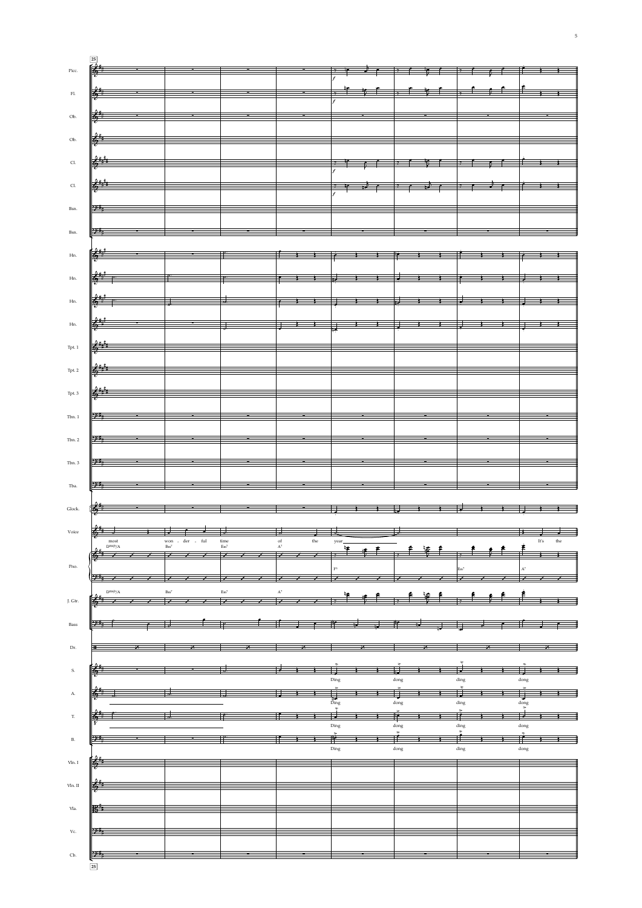| Picc.                       |      |                                                                                                                                                                                                                                                                                                                                                                                              |                                                                                                                        |      |          |                          |                                                                                                                                                                                                                                                                                                                     |  |  |                                                 |  |      |     |
|-----------------------------|------|----------------------------------------------------------------------------------------------------------------------------------------------------------------------------------------------------------------------------------------------------------------------------------------------------------------------------------------------------------------------------------------------|------------------------------------------------------------------------------------------------------------------------|------|----------|--------------------------|---------------------------------------------------------------------------------------------------------------------------------------------------------------------------------------------------------------------------------------------------------------------------------------------------------------------|--|--|-------------------------------------------------|--|------|-----|
|                             |      |                                                                                                                                                                                                                                                                                                                                                                                              |                                                                                                                        |      |          |                          |                                                                                                                                                                                                                                                                                                                     |  |  |                                                 |  |      |     |
| $\mathop{\rm Fl}\nolimits.$ |      |                                                                                                                                                                                                                                                                                                                                                                                              |                                                                                                                        |      |          |                          |                                                                                                                                                                                                                                                                                                                     |  |  |                                                 |  |      |     |
| Ob.                         |      | $\frac{1}{6}$                                                                                                                                                                                                                                                                                                                                                                                |                                                                                                                        |      |          |                          |                                                                                                                                                                                                                                                                                                                     |  |  |                                                 |  |      |     |
|                             |      |                                                                                                                                                                                                                                                                                                                                                                                              |                                                                                                                        |      |          |                          |                                                                                                                                                                                                                                                                                                                     |  |  |                                                 |  |      |     |
| Ob.                         |      | $\frac{1}{\sqrt{2}}$                                                                                                                                                                                                                                                                                                                                                                         |                                                                                                                        |      |          |                          |                                                                                                                                                                                                                                                                                                                     |  |  |                                                 |  |      |     |
|                             |      |                                                                                                                                                                                                                                                                                                                                                                                              |                                                                                                                        |      |          |                          |                                                                                                                                                                                                                                                                                                                     |  |  |                                                 |  |      |     |
| Cl.                         |      | $\frac{1}{2}$ is the contract of $\frac{1}{2}$ in the $\frac{1}{2}$ in the $\frac{1}{2}$ in the $\frac{1}{2}$ in the $\frac{1}{2}$ in the $\frac{1}{2}$ in $\frac{1}{2}$ in $\frac{1}{2}$ in $\frac{1}{2}$ in $\frac{1}{2}$ in $\frac{1}{2}$ in $\frac{1}{2}$ in $\frac{1}{2}$ in $\frac$                                                                                                    |                                                                                                                        |      |          |                          |                                                                                                                                                                                                                                                                                                                     |  |  |                                                 |  |      |     |
|                             |      |                                                                                                                                                                                                                                                                                                                                                                                              |                                                                                                                        |      |          |                          |                                                                                                                                                                                                                                                                                                                     |  |  |                                                 |  |      |     |
| CL                          |      | $\frac{2+\frac{1}{2}}{\frac{1}{2}}$                                                                                                                                                                                                                                                                                                                                                          |                                                                                                                        |      |          |                          |                                                                                                                                                                                                                                                                                                                     |  |  |                                                 |  |      |     |
| Bsn.                        |      |                                                                                                                                                                                                                                                                                                                                                                                              |                                                                                                                        |      |          |                          |                                                                                                                                                                                                                                                                                                                     |  |  |                                                 |  |      |     |
|                             |      |                                                                                                                                                                                                                                                                                                                                                                                              |                                                                                                                        |      |          |                          |                                                                                                                                                                                                                                                                                                                     |  |  |                                                 |  |      |     |
|                             |      |                                                                                                                                                                                                                                                                                                                                                                                              | <u> Andrea San Aonaichte ann an Dùbhlachd ann an Dùbhlachd ann an Dùbhlachd ann an Dùbhlachd ann an Dùbhlachd ann </u> |      |          |                          |                                                                                                                                                                                                                                                                                                                     |  |  |                                                 |  |      |     |
|                             |      |                                                                                                                                                                                                                                                                                                                                                                                              |                                                                                                                        |      |          |                          |                                                                                                                                                                                                                                                                                                                     |  |  |                                                 |  |      |     |
| Hn.                         |      | $\frac{1}{2}$                                                                                                                                                                                                                                                                                                                                                                                |                                                                                                                        |      |          |                          |                                                                                                                                                                                                                                                                                                                     |  |  |                                                 |  |      |     |
|                             |      |                                                                                                                                                                                                                                                                                                                                                                                              |                                                                                                                        |      |          |                          |                                                                                                                                                                                                                                                                                                                     |  |  |                                                 |  |      |     |
| $Hn$ .                      |      | $\frac{1}{\sqrt{2}}$                                                                                                                                                                                                                                                                                                                                                                         |                                                                                                                        |      |          |                          |                                                                                                                                                                                                                                                                                                                     |  |  |                                                 |  |      |     |
| Hn.                         |      |                                                                                                                                                                                                                                                                                                                                                                                              |                                                                                                                        |      |          |                          |                                                                                                                                                                                                                                                                                                                     |  |  |                                                 |  |      |     |
|                             |      |                                                                                                                                                                                                                                                                                                                                                                                              |                                                                                                                        |      |          |                          |                                                                                                                                                                                                                                                                                                                     |  |  |                                                 |  |      |     |
| Hn.                         |      |                                                                                                                                                                                                                                                                                                                                                                                              |                                                                                                                        |      |          |                          |                                                                                                                                                                                                                                                                                                                     |  |  |                                                 |  |      |     |
|                             |      |                                                                                                                                                                                                                                                                                                                                                                                              |                                                                                                                        |      |          |                          |                                                                                                                                                                                                                                                                                                                     |  |  |                                                 |  |      |     |
| $\operatorname{Tpt.}1$      |      | $\frac{2^{\frac{1}{2}+\frac{1}{2}}}{\frac{1}{2}+\frac{1}{2}+\frac{1}{2}}$                                                                                                                                                                                                                                                                                                                    |                                                                                                                        |      |          |                          |                                                                                                                                                                                                                                                                                                                     |  |  |                                                 |  |      |     |
| Tpt. 2                      |      | $\frac{2^{\frac{1}{2}+\frac{1}{2}}}{\frac{1}{2}+\frac{1}{2}+\frac{1}{2}-\frac{1}{2}-\frac{1}{2}-\frac{1}{2}-\frac{1}{2}-\frac{1}{2}-\frac{1}{2}-\frac{1}{2}-\frac{1}{2}-\frac{1}{2}-\frac{1}{2}-\frac{1}{2}-\frac{1}{2}-\frac{1}{2}-\frac{1}{2}-\frac{1}{2}-\frac{1}{2}-\frac{1}{2}-\frac{1}{2}-\frac{1}{2}-\frac{1}{2}-\frac{1}{2}-\frac{1}{2}-\frac{1}{2}-\frac{1}{2}-\frac{1}{2}-\frac{1$ |                                                                                                                        |      |          |                          |                                                                                                                                                                                                                                                                                                                     |  |  |                                                 |  |      |     |
|                             |      |                                                                                                                                                                                                                                                                                                                                                                                              |                                                                                                                        |      |          |                          |                                                                                                                                                                                                                                                                                                                     |  |  |                                                 |  |      |     |
|                             |      |                                                                                                                                                                                                                                                                                                                                                                                              |                                                                                                                        |      |          |                          |                                                                                                                                                                                                                                                                                                                     |  |  |                                                 |  |      |     |
|                             |      |                                                                                                                                                                                                                                                                                                                                                                                              |                                                                                                                        |      |          |                          |                                                                                                                                                                                                                                                                                                                     |  |  |                                                 |  |      |     |
| Tbn. 1                      |      |                                                                                                                                                                                                                                                                                                                                                                                              |                                                                                                                        |      |          |                          |                                                                                                                                                                                                                                                                                                                     |  |  |                                                 |  |      |     |
|                             |      |                                                                                                                                                                                                                                                                                                                                                                                              |                                                                                                                        |      |          |                          |                                                                                                                                                                                                                                                                                                                     |  |  |                                                 |  |      |     |
| Tbn. 2                      |      |                                                                                                                                                                                                                                                                                                                                                                                              |                                                                                                                        |      |          |                          |                                                                                                                                                                                                                                                                                                                     |  |  |                                                 |  |      |     |
| Tbn. 3                      |      |                                                                                                                                                                                                                                                                                                                                                                                              |                                                                                                                        |      |          |                          |                                                                                                                                                                                                                                                                                                                     |  |  |                                                 |  |      |     |
|                             |      |                                                                                                                                                                                                                                                                                                                                                                                              |                                                                                                                        |      |          |                          |                                                                                                                                                                                                                                                                                                                     |  |  |                                                 |  |      |     |
| Tba.                        |      |                                                                                                                                                                                                                                                                                                                                                                                              |                                                                                                                        |      |          |                          |                                                                                                                                                                                                                                                                                                                     |  |  |                                                 |  |      |     |
|                             |      |                                                                                                                                                                                                                                                                                                                                                                                              |                                                                                                                        |      |          |                          |                                                                                                                                                                                                                                                                                                                     |  |  |                                                 |  |      |     |
| Glock.                      |      |                                                                                                                                                                                                                                                                                                                                                                                              |                                                                                                                        |      |          |                          |                                                                                                                                                                                                                                                                                                                     |  |  |                                                 |  |      |     |
| Voice                       |      |                                                                                                                                                                                                                                                                                                                                                                                              |                                                                                                                        |      |          |                          |                                                                                                                                                                                                                                                                                                                     |  |  |                                                 |  |      |     |
|                             | most |                                                                                                                                                                                                                                                                                                                                                                                              | der - ful<br>won                                                                                                       | time | of $A^7$ | the                      |                                                                                                                                                                                                                                                                                                                     |  |  |                                                 |  | It's | the |
|                             |      |                                                                                                                                                                                                                                                                                                                                                                                              |                                                                                                                        |      |          |                          |                                                                                                                                                                                                                                                                                                                     |  |  |                                                 |  |      |     |
| Pno.                        |      |                                                                                                                                                                                                                                                                                                                                                                                              |                                                                                                                        |      |          |                          |                                                                                                                                                                                                                                                                                                                     |  |  |                                                 |  |      |     |
|                             |      |                                                                                                                                                                                                                                                                                                                                                                                              |                                                                                                                        |      |          |                          |                                                                                                                                                                                                                                                                                                                     |  |  |                                                 |  |      |     |
|                             |      |                                                                                                                                                                                                                                                                                                                                                                                              |                                                                                                                        |      |          |                          |                                                                                                                                                                                                                                                                                                                     |  |  |                                                 |  |      |     |
| J. Gtr.                     |      |                                                                                                                                                                                                                                                                                                                                                                                              |                                                                                                                        |      |          |                          |                                                                                                                                                                                                                                                                                                                     |  |  |                                                 |  |      |     |
| <b>Bass</b>                 |      |                                                                                                                                                                                                                                                                                                                                                                                              |                                                                                                                        |      |          | $\overline{\phantom{a}}$ | $\frac{1}{2}$ $\frac{1}{2}$ $\frac{1}{2}$ $\frac{1}{2}$ $\frac{1}{2}$ $\frac{1}{2}$ $\frac{1}{2}$ $\frac{1}{2}$ $\frac{1}{2}$ $\frac{1}{2}$ $\frac{1}{2}$ $\frac{1}{2}$ $\frac{1}{2}$ $\frac{1}{2}$ $\frac{1}{2}$ $\frac{1}{2}$ $\frac{1}{2}$ $\frac{1}{2}$ $\frac{1}{2}$ $\frac{1}{2}$ $\frac{1}{2}$ $\frac{1}{2}$ |  |  | ▁▕ <sup>▆</sup> ▘▁▁▗ <mark>┙▁▁▁▏▏▏▁▁▗</mark> ▁▁ |  |      |     |
|                             |      |                                                                                                                                                                                                                                                                                                                                                                                              |                                                                                                                        |      |          |                          |                                                                                                                                                                                                                                                                                                                     |  |  |                                                 |  |      |     |
| Dr.                         |      |                                                                                                                                                                                                                                                                                                                                                                                              |                                                                                                                        |      |          |                          |                                                                                                                                                                                                                                                                                                                     |  |  |                                                 |  |      |     |
|                             |      |                                                                                                                                                                                                                                                                                                                                                                                              |                                                                                                                        |      |          |                          |                                                                                                                                                                                                                                                                                                                     |  |  |                                                 |  |      |     |
|                             |      |                                                                                                                                                                                                                                                                                                                                                                                              |                                                                                                                        |      |          |                          | $\frac{1}{2}$ $\frac{1}{2}$ $\frac{1}{2}$ $\frac{1}{2}$ $\frac{1}{2}$<br>Ding                                                                                                                                                                                                                                       |  |  | ding                                            |  |      |     |